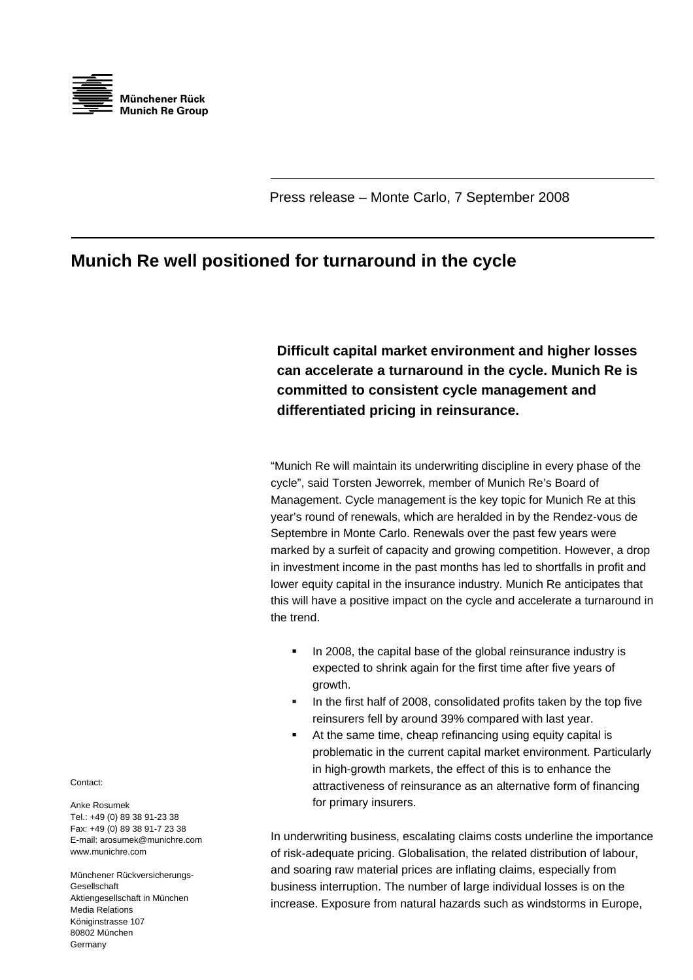

Press release – Monte Carlo, 7 September 2008

## **Munich Re well positioned for turnaround in the cycle**

**Difficult capital market environment and higher losses can accelerate a turnaround in the cycle. Munich Re is committed to consistent cycle management and differentiated pricing in reinsurance.** 

"Munich Re will maintain its underwriting discipline in every phase of the cycle", said Torsten Jeworrek, member of Munich Re's Board of Management. Cycle management is the key topic for Munich Re at this year's round of renewals, which are heralded in by the Rendez-vous de Septembre in Monte Carlo. Renewals over the past few years were marked by a surfeit of capacity and growing competition. However, a drop in investment income in the past months has led to shortfalls in profit and lower equity capital in the insurance industry. Munich Re anticipates that this will have a positive impact on the cycle and accelerate a turnaround in the trend.

- In 2008, the capital base of the global reinsurance industry is expected to shrink again for the first time after five years of growth.
- In the first half of 2008, consolidated profits taken by the top five reinsurers fell by around 39% compared with last year.
- At the same time, cheap refinancing using equity capital is problematic in the current capital market environment. Particularly in high-growth markets, the effect of this is to enhance the attractiveness of reinsurance as an alternative form of financing for primary insurers.

In underwriting business, escalating claims costs underline the importance of risk-adequate pricing. Globalisation, the related distribution of labour, and soaring raw material prices are inflating claims, especially from business interruption. The number of large individual losses is on the increase. Exposure from natural hazards such as windstorms in Europe,

Contact:

Anke Rosumek Tel.: +49 (0) 89 38 91-23 38 Fax: +49 (0) 89 38 91-7 23 38 E-mail: arosumek@munichre.com www.munichre.com

Münchener Rückversicherungs-Gesellschaft Aktiengesellschaft in München Media Relations Königinstrasse 107 80802 München Germany